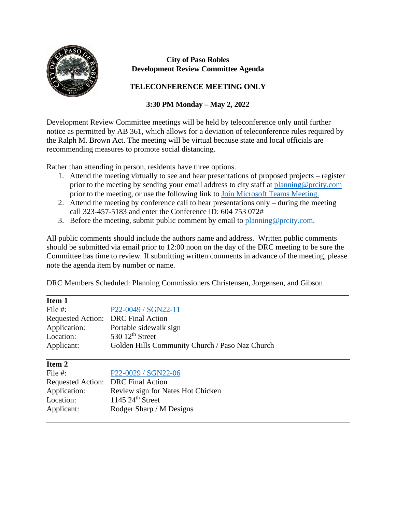

#### **City of Paso Robles Development Review Committee Agenda**

### **TELECONFERENCE MEETING ONLY**

## **3:30 PM Monday – May 2, 2022**

Development Review Committee meetings will be held by teleconference only until further notice as permitted by AB 361, which allows for a deviation of teleconference rules required by the Ralph M. Brown Act. The meeting will be virtual because state and local officials are recommending measures to promote social distancing.

Rather than attending in person, residents have three options.

- 1. Attend the meeting virtually to see and hear presentations of proposed projects register prior to the meeting by sending your email address to city staff at [planning@prcity.com](mailto:planning@prcity.com) prior to the meeting, or use the following link to [Join Microsoft Teams Meeting.](https://teams.microsoft.com/l/meetup-join/19%3ameeting_ODAwMzZlMDUtMWYxOC00YTk5LTgwZTUtYjQ2ZTM1NjFkYjJj%40thread.v2/0?context=%7b%22Tid%22%3a%221a5b5698-d524-42f2-abba-fb4615f7b1d6%22%2c%22Oid%22%3a%2266ba4e2a-3671-4e72-9d7a-eef3135a0aef%22%7d)
- 2. Attend the meeting by conference call to hear presentations only during the meeting call 323-457-5183 and enter the Conference ID: 604 753 072#
- 3. Before the meeting, submit public comment by email to planning @prcity.com.

All public comments should include the authors name and address. Written public comments should be submitted via email prior to 12:00 noon on the day of the DRC meeting to be sure the Committee has time to review. If submitting written comments in advance of the meeting, please note the agenda item by number or name.

DRC Members Scheduled: Planning Commissioners Christensen, Jorgensen, and Gibson

| т<br>u<br>н<br>г |
|------------------|
|------------------|

 $\overline{a}$ 

| File $#$ :                         | P22-0049 / SGN22-11                             |
|------------------------------------|-------------------------------------------------|
| Requested Action: DRC Final Action |                                                 |
| Application:                       | Portable sidewalk sign                          |
| Location:                          | 530 $12th$ Street                               |
| Applicant:                         | Golden Hills Community Church / Paso Naz Church |

File #: [P22-0029 / SGN22-06](https://www.prcity.com/DocumentCenter/View/33773/May-2-2022-Development-Review-Committee-Agenda-Item-2-PDF)

| .                                  | 1 22 0027 DOIT22 00               |
|------------------------------------|-----------------------------------|
| Requested Action: DRC Final Action |                                   |
| Application:                       | Review sign for Nates Hot Chicken |
| Location:                          | $1145$ $24th$ Street              |
| Applicant:                         | Rodger Sharp / M Designs          |
|                                    |                                   |